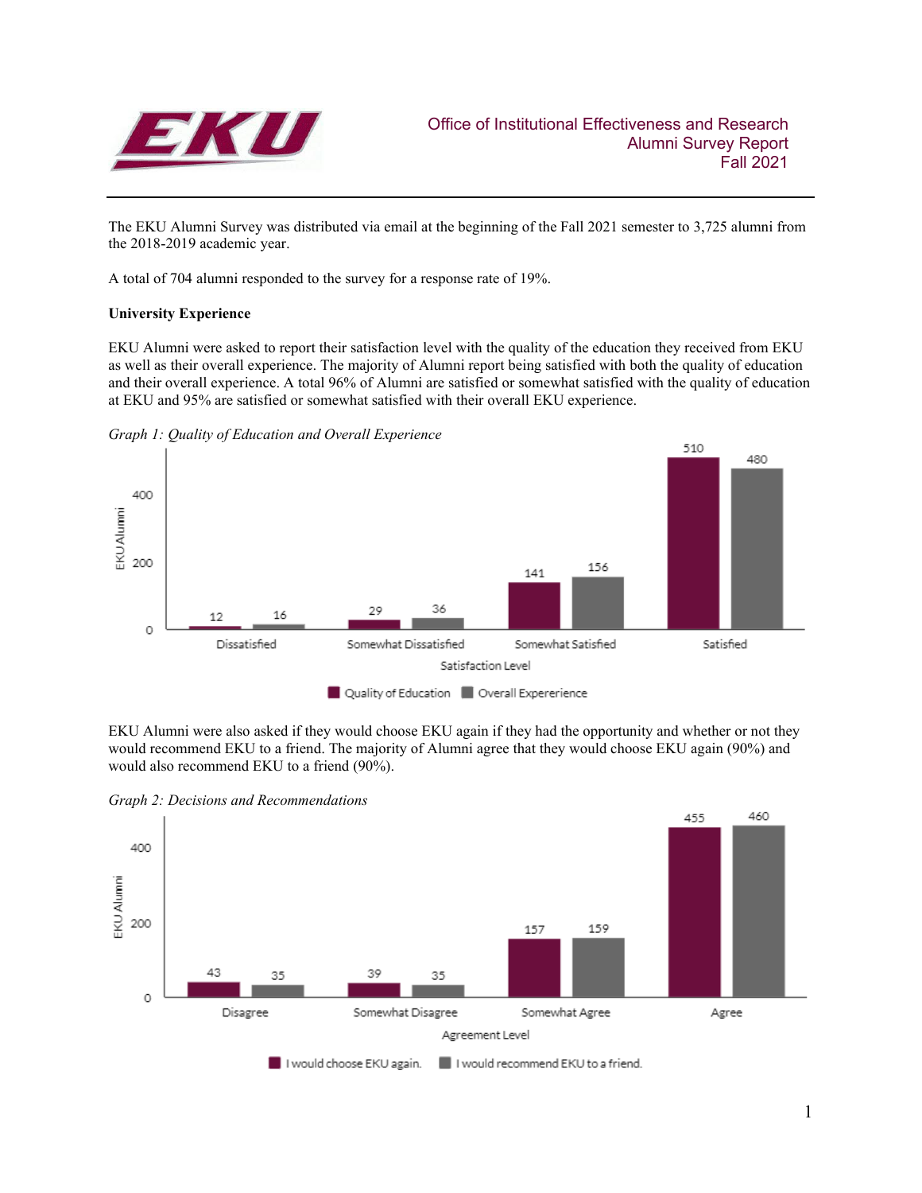

The EKU Alumni Survey was distributed via email at the beginning of the Fall 2021 semester to 3,725 alumni from the 2018-2019 academic year.

A total of 704 alumni responded to the survey for a response rate of 19%.

# **University Experience**

EKU Alumni were asked to report their satisfaction level with the quality of the education they received from EKU as well as their overall experience. The majority of Alumni report being satisfied with both the quality of education and their overall experience. A total 96% of Alumni are satisfied or somewhat satisfied with the quality of education at EKU and 95% are satisfied or somewhat satisfied with their overall EKU experience.





EKU Alumni were also asked if they would choose EKU again if they had the opportunity and whether or not they would recommend EKU to a friend. The majority of Alumni agree that they would choose EKU again (90%) and would also recommend EKU to a friend (90%).

*Graph 2: Decisions and Recommendations*

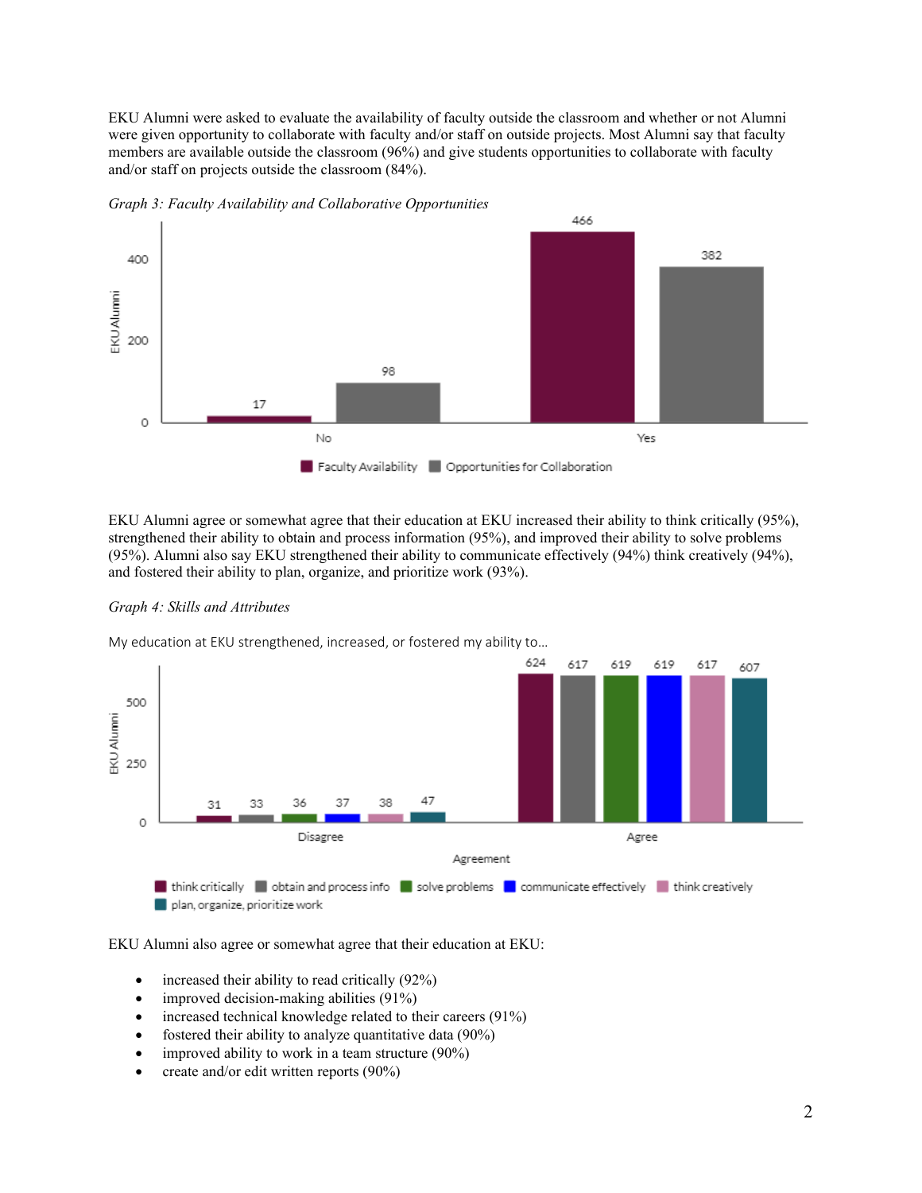EKU Alumni were asked to evaluate the availability of faculty outside the classroom and whether or not Alumni were given opportunity to collaborate with faculty and/or staff on outside projects. Most Alumni say that faculty members are available outside the classroom (96%) and give students opportunities to collaborate with faculty and/or staff on projects outside the classroom (84%).



*Graph 3: Faculty Availability and Collaborative Opportunities*

EKU Alumni agree or somewhat agree that their education at EKU increased their ability to think critically (95%), strengthened their ability to obtain and process information (95%), and improved their ability to solve problems (95%). Alumni also say EKU strengthened their ability to communicate effectively (94%) think creatively (94%), and fostered their ability to plan, organize, and prioritize work (93%).



My education at EKU strengthened, increased, or fostered my ability to…



EKU Alumni also agree or somewhat agree that their education at EKU:

- increased their ability to read critically (92%)
- improved decision-making abilities (91%)
- increased technical knowledge related to their careers (91%)
- fostered their ability to analyze quantitative data (90%)
- improved ability to work in a team structure  $(90\%)$
- create and/or edit written reports (90%)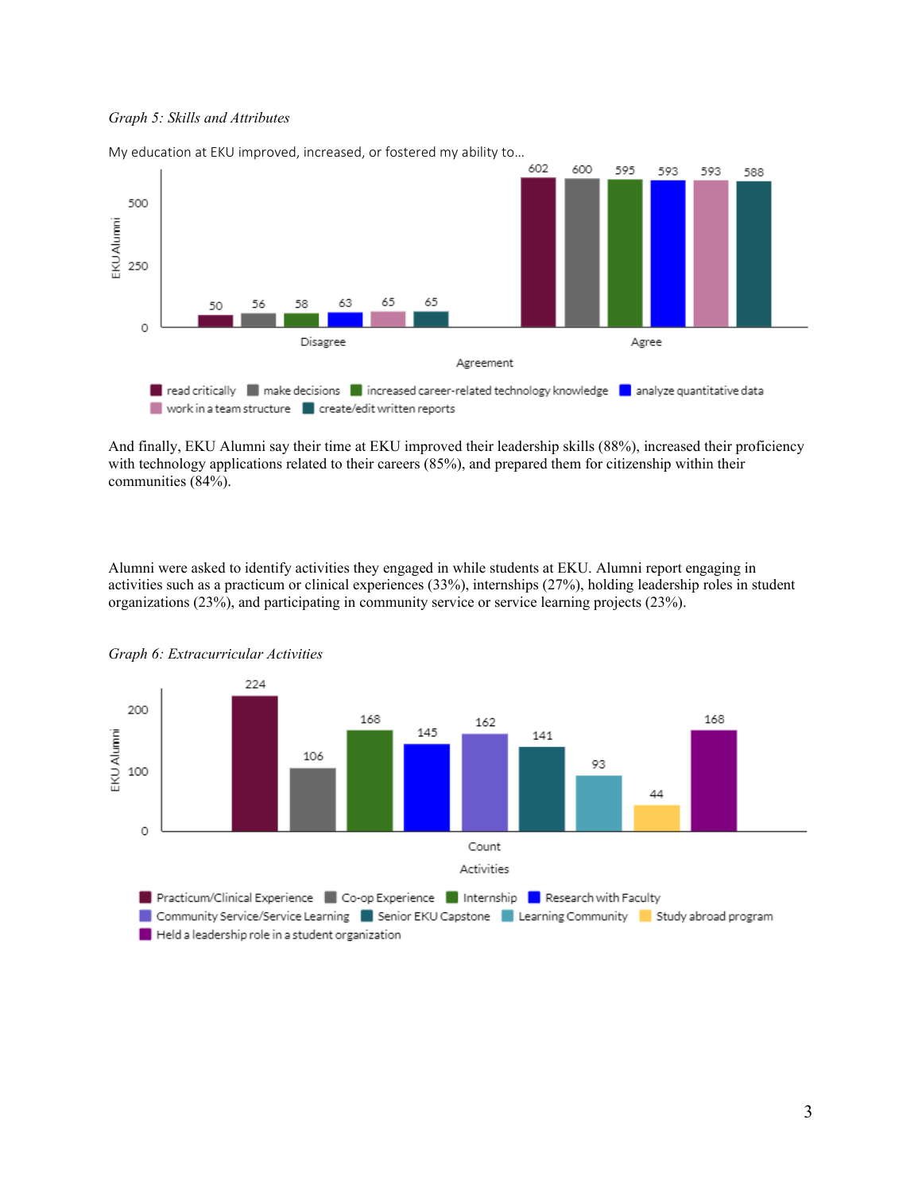# *Graph 5: Skills and Attributes*



My education at EKU improved, increased, or fostered my ability to…

And finally, EKU Alumni say their time at EKU improved their leadership skills (88%), increased their proficiency with technology applications related to their careers (85%), and prepared them for citizenship within their communities (84%).

Alumni were asked to identify activities they engaged in while students at EKU. Alumni report engaging in activities such as a practicum or clinical experiences (33%), internships (27%), holding leadership roles in student organizations (23%), and participating in community service or service learning projects (23%).



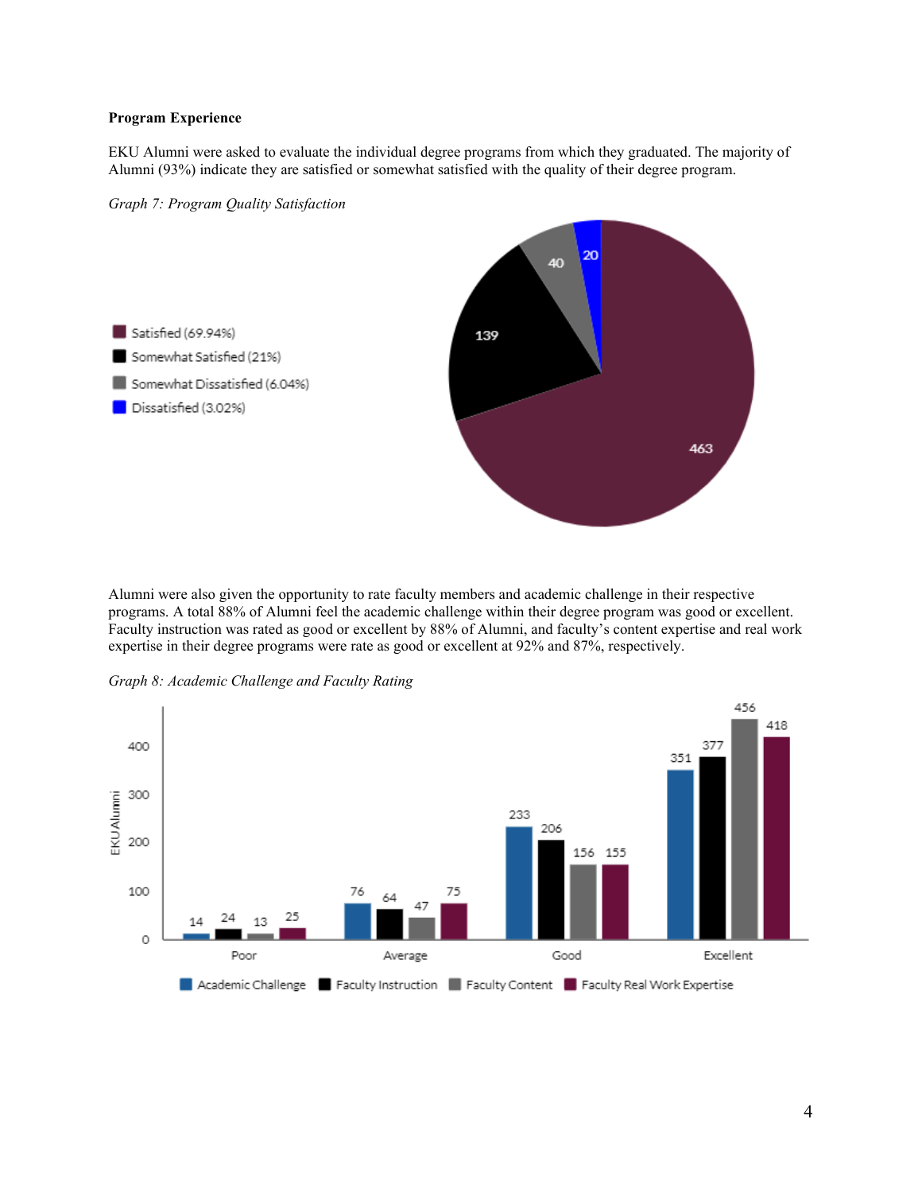# **Program Experience**

EKU Alumni were asked to evaluate the individual degree programs from which they graduated. The majority of Alumni (93%) indicate they are satisfied or somewhat satisfied with the quality of their degree program.





Alumni were also given the opportunity to rate faculty members and academic challenge in their respective programs. A total 88% of Alumni feel the academic challenge within their degree program was good or excellent. Faculty instruction was rated as good or excellent by 88% of Alumni, and faculty's content expertise and real work expertise in their degree programs were rate as good or excellent at 92% and 87%, respectively.



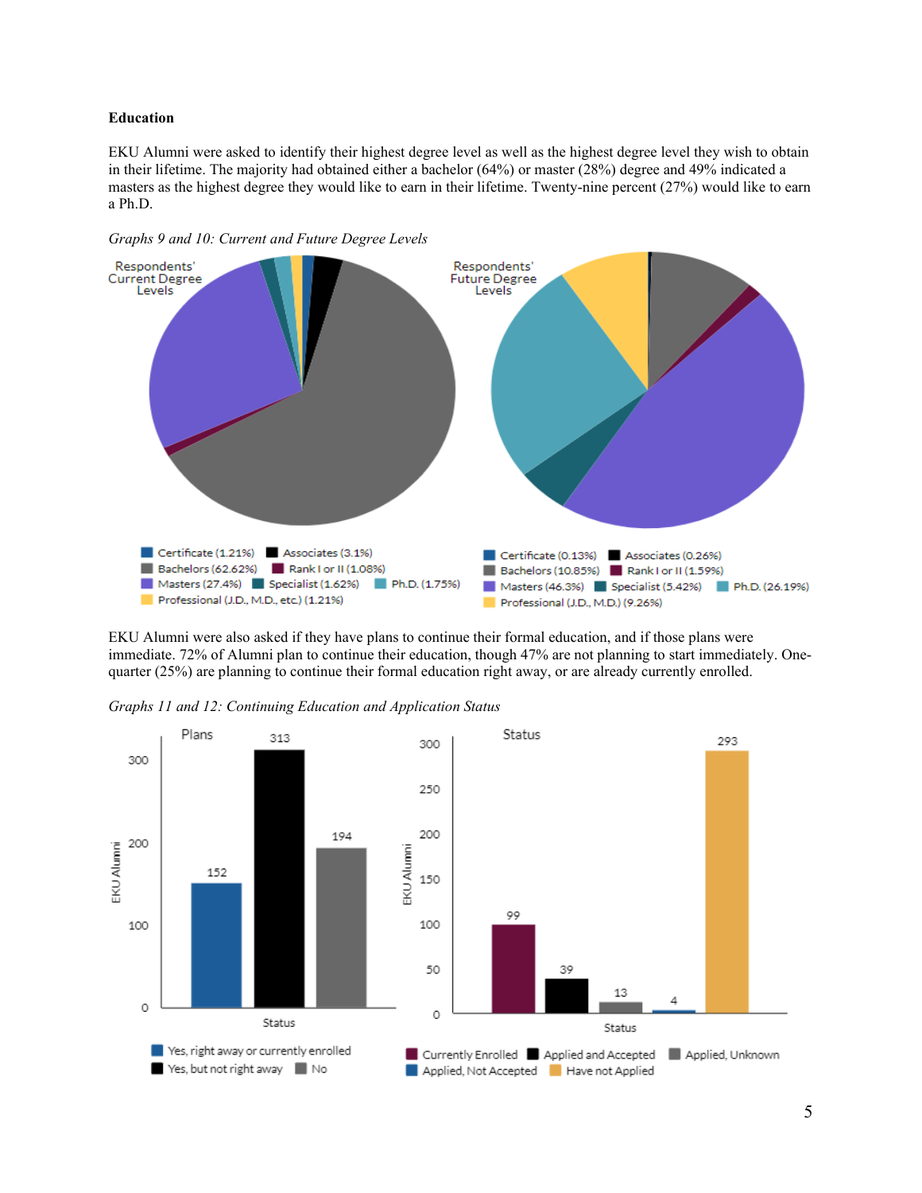#### **Education**

EKU Alumni were asked to identify their highest degree level as well as the highest degree level they wish to obtain in their lifetime. The majority had obtained either a bachelor (64%) or master (28%) degree and 49% indicated a masters as the highest degree they would like to earn in their lifetime. Twenty-nine percent (27%) would like to earn a Ph.D.



*Graphs 9 and 10: Current and Future Degree Levels*

EKU Alumni were also asked if they have plans to continue their formal education, and if those plans were immediate. 72% of Alumni plan to continue their education, though 47% are not planning to start immediately. Onequarter (25%) are planning to continue their formal education right away, or are already currently enrolled.



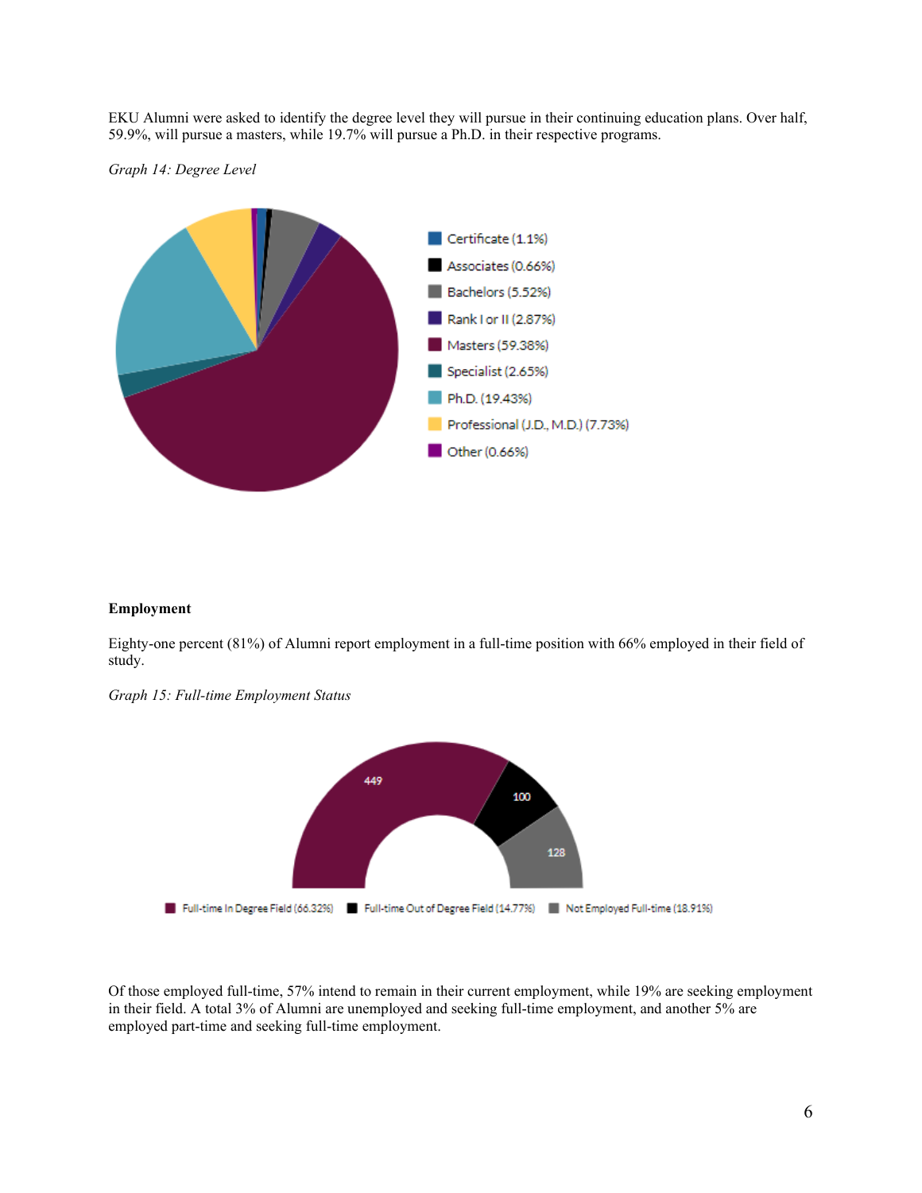EKU Alumni were asked to identify the degree level they will pursue in their continuing education plans. Over half, 59.9%, will pursue a masters, while 19.7% will pursue a Ph.D. in their respective programs.

*Graph 14: Degree Level* 



# **Employment**

Eighty-one percent (81%) of Alumni report employment in a full-time position with 66% employed in their field of study.

*Graph 15: Full-time Employment Status*



Of those employed full-time, 57% intend to remain in their current employment, while 19% are seeking employment in their field. A total 3% of Alumni are unemployed and seeking full-time employment, and another 5% are employed part-time and seeking full-time employment.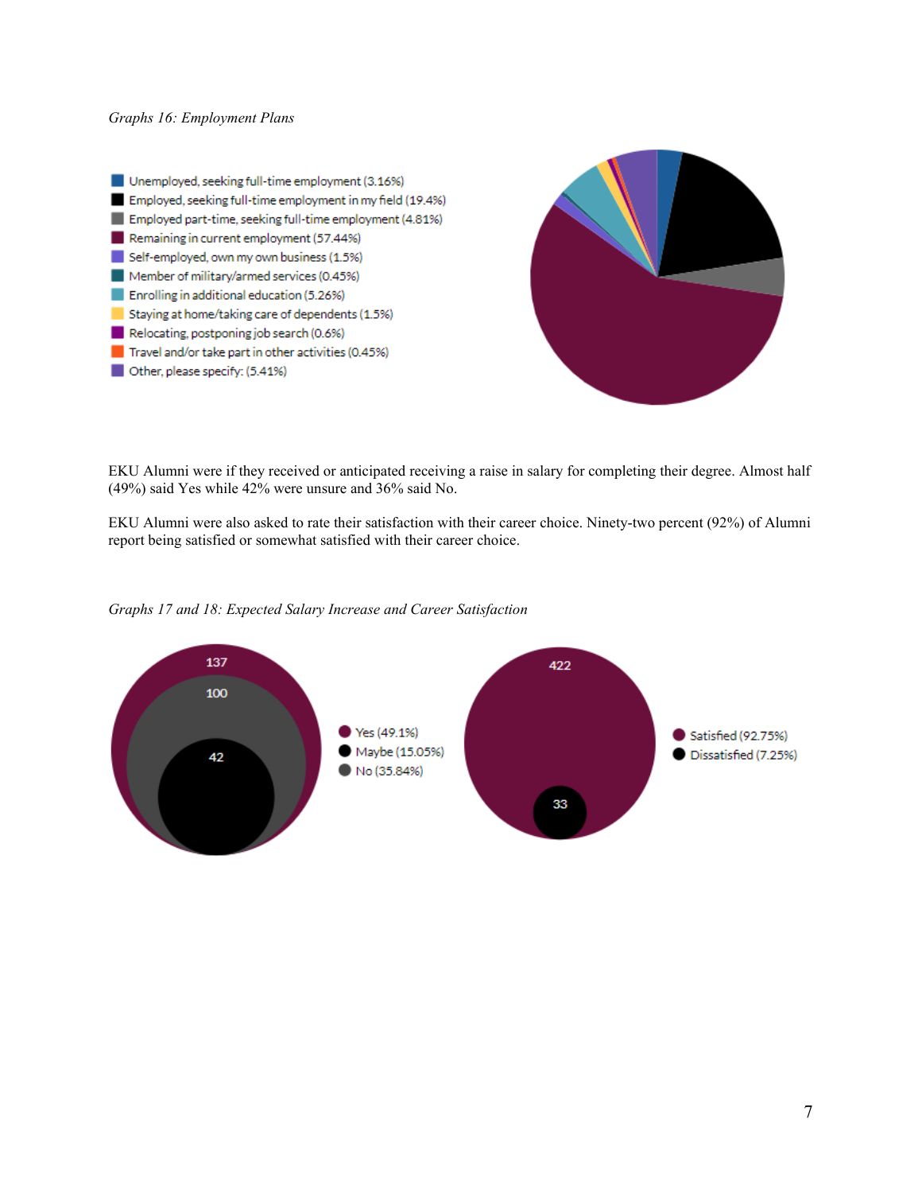Unemployed, seeking full-time employment (3.16%) Employed, seeking full-time employment in my field (19.4%) Employed part-time, seeking full-time employment (4.81%) Remaining in current employment (57.44%) Self-employed, own my own business (1.5%) Member of military/armed services (0.45%) Enrolling in additional education (5.26%) Staying at home/taking care of dependents (1.5%) Relocating, postponing job search (0.6%)  $\blacksquare$  Travel and/or take part in other activities (0.45%) Other, please specify: (5.41%)



EKU Alumni were if they received or anticipated receiving a raise in salary for completing their degree. Almost half (49%) said Yes while 42% were unsure and 36% said No.

EKU Alumni were also asked to rate their satisfaction with their career choice. Ninety-two percent (92%) of Alumni report being satisfied or somewhat satisfied with their career choice.



#### *Graphs 17 and 18: Expected Salary Increase and Career Satisfaction*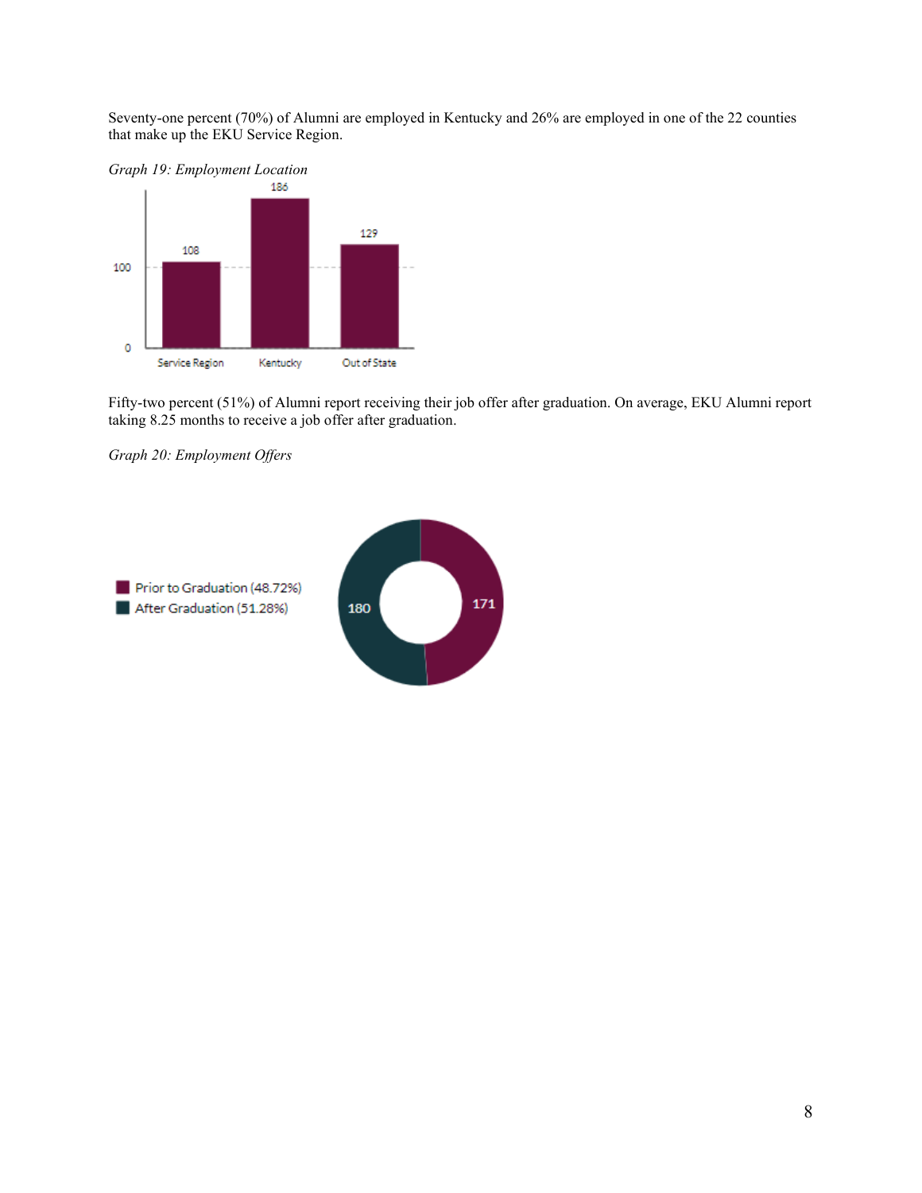Seventy-one percent (70%) of Alumni are employed in Kentucky and 26% are employed in one of the 22 counties that make up the EKU Service Region.



Fifty-two percent (51%) of Alumni report receiving their job offer after graduation. On average, EKU Alumni report taking 8.25 months to receive a job offer after graduation.

*Graph 20: Employment Offers*